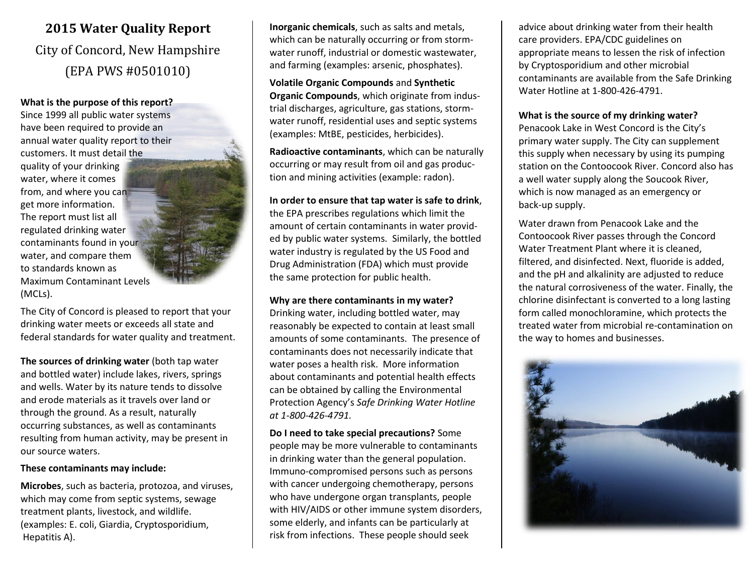# **2015 Water Quality Report** City of Concord, New Hampshire (EPA PWS #0501010)

#### **What is the purpose of this report?**

Since 1999 all public water systems have been required to provide an annual water quality report to their customers. It must detail the quality of your drinking water, where it comes from, and where you can get more information. The report must list all regulated drinking water contaminants found in your water, and compare them to standards known as Maximum Contaminant Levels (MCLs).

The City of Concord is pleased to report that your drinking water meets or exceeds all state and federal standards for water quality and treatment.

**The sources of drinking water** (both tap water and bottled water) include lakes, rivers, springs and wells. Water by its nature tends to dissolve and erode materials as it travels over land or through the ground. As a result, naturally occurring substances, as well as contaminants resulting from human activity, may be present in our source waters.

#### **These contaminants may include:**

**Microbes**, such as bacteria, protozoa, and viruses, which may come from septic systems, sewage treatment plants, livestock, and wildlife. (examples: E. coli, Giardia, Cryptosporidium, Hepatitis A).

**Inorganic chemicals**, such as salts and metals, which can be naturally occurring or from stormwater runoff, industrial or domestic wastewater, and farming (examples: arsenic, phosphates).

**Volatile Organic Compounds** and **Synthetic Organic Compounds**, which originate from industrial discharges, agriculture, gas stations, stormwater runoff, residential uses and septic systems (examples: MtBE, pesticides, herbicides).

**Radioactive contaminants**, which can be naturally occurring or may result from oil and gas production and mining activities (example: radon).

#### **In order to ensure that tap water is safe to drink**,

the EPA prescribes regulations which limit the amount of certain contaminants in water provided by public water systems. Similarly, the bottled water industry is regulated by the US Food and Drug Administration (FDA) which must provide the same protection for public health.

#### **Why are there contaminants in my water?**

Drinking water, including bottled water, may reasonably be expected to contain at least small amounts of some contaminants. The presence of contaminants does not necessarily indicate that water poses a health risk. More information about contaminants and potential health effects can be obtained by calling the Environmental Protection Agency's *Safe Drinking Water Hotline at 1-800-426-4791.*

**Do I need to take special precautions?** Some people may be more vulnerable to contaminants in drinking water than the general population. Immuno-compromised persons such as persons with cancer undergoing chemotherapy, persons who have undergone organ transplants, people with HIV/AIDS or other immune system disorders, some elderly, and infants can be particularly at risk from infections. These people should seek

advice about drinking water from their health care providers. EPA/CDC guidelines on appropriate means to lessen the risk of infection by Cryptosporidium and other microbial contaminants are available from the Safe Drinking Water Hotline at 1-800-426-4791.

### **What is the source of my drinking water?**

Penacook Lake in West Concord is the City's primary water supply. The City can supplement this supply when necessary by using its pumping station on the Contoocook River. Concord also has a well water supply along the Soucook River, which is now managed as an emergency or back-up supply.

Water drawn from Penacook Lake and the Contoocook River passes through the Concord Water Treatment Plant where it is cleaned, filtered, and disinfected. Next, fluoride is added, and the pH and alkalinity are adjusted to reduce the natural corrosiveness of the water. Finally, the chlorine disinfectant is converted to a long lasting form called monochloramine, which protects the treated water from microbial re-contamination on the way to homes and businesses.

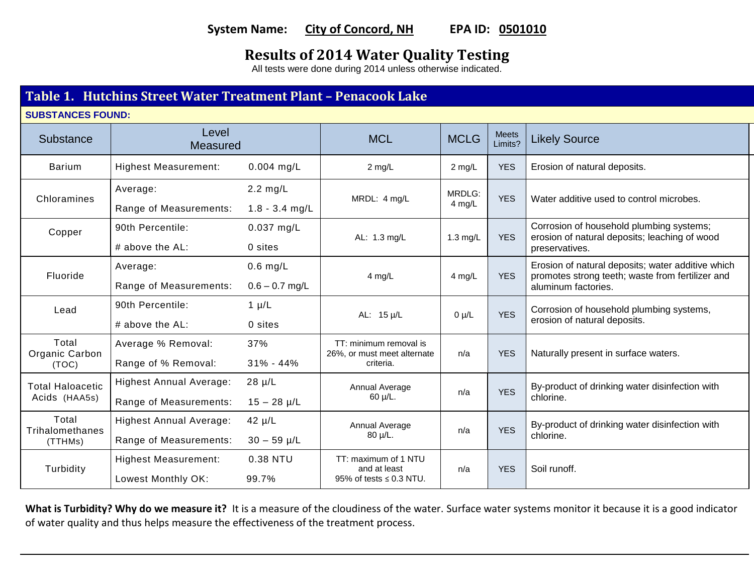### **System Name: City of Concord, NH EPA ID: 0501010**

## **Results of 2014 Water Quality Testing**

All tests were done during 2014 unless otherwise indicated.

### **Table 1. Hutchins Street Water Treatment Plant – Penacook Lake**

**SUBSTANCES FOUND:**

| Substance                                | Level<br>Measured                                        |                                        | <b>MCL</b>                                                         | <b>MCLG</b>      | <b>Meets</b><br>Limits? | <b>Likely Source</b>                                                                                                         |
|------------------------------------------|----------------------------------------------------------|----------------------------------------|--------------------------------------------------------------------|------------------|-------------------------|------------------------------------------------------------------------------------------------------------------------------|
| <b>Barium</b>                            | <b>Highest Measurement:</b>                              | $0.004$ mg/L                           | $2$ mg/L                                                           | 2 mg/L           | <b>YES</b>              | Erosion of natural deposits.                                                                                                 |
| Chloramines                              | Average:<br>Range of Measurements:                       | $2.2 \text{ mg/L}$<br>$1.8 - 3.4$ mg/L | MRDL: 4 mg/L                                                       | MRDLG:<br>4 mg/L | <b>YES</b>              | Water additive used to control microbes.                                                                                     |
| Copper                                   | 90th Percentile:<br># above the AL:                      | $0.037$ mg/L<br>0 sites                | AL: 1.3 mg/L                                                       | 1.3 mg/L         | <b>YES</b>              | Corrosion of household plumbing systems;<br>erosion of natural deposits; leaching of wood<br>preservatives.                  |
| Fluoride                                 | Average:<br>Range of Measurements:                       | $0.6$ mg/L<br>$0.6 - 0.7$ mg/L         | 4 mg/L                                                             | 4 mg/L           | <b>YES</b>              | Erosion of natural deposits; water additive which<br>promotes strong teeth; waste from fertilizer and<br>aluminum factories. |
| Lead                                     | 90th Percentile:<br># above the AL:                      | $1 \mu/L$<br>0 sites                   | AL: 15 µ/L                                                         | $0 \mu/L$        | <b>YES</b>              | Corrosion of household plumbing systems,<br>erosion of natural deposits.                                                     |
| Total<br>Organic Carbon<br>(TOC)         | Average % Removal:<br>Range of % Removal:                | 37%<br>$31\% - 44\%$                   | TT: minimum removal is<br>26%, or must meet alternate<br>criteria. | n/a              | <b>YES</b>              | Naturally present in surface waters.                                                                                         |
| <b>Total Haloacetic</b><br>Acids (HAA5s) | <b>Highest Annual Average:</b><br>Range of Measurements: | $28 \mu/L$<br>$15 - 28 \mu/L$          | Annual Average<br>$60 \mu/L$ .                                     | n/a              | <b>YES</b>              | By-product of drinking water disinfection with<br>chlorine.                                                                  |
| Total<br>Trihalomethanes<br>(TTHMs)      | <b>Highest Annual Average:</b><br>Range of Measurements: | $42 \mu/L$<br>$30 - 59 \mu/L$          | Annual Average<br>80 µ/L.                                          | n/a              | <b>YES</b>              | By-product of drinking water disinfection with<br>chlorine.                                                                  |
| Turbidity                                | <b>Highest Measurement:</b><br>Lowest Monthly OK:        | 0.38 NTU<br>99.7%                      | TT: maximum of 1 NTU<br>and at least<br>95% of tests ≤ 0.3 NTU.    | n/a              | <b>YES</b>              | Soil runoff.                                                                                                                 |

**What is Turbidity? Why do we measure it?** It is a measure of the cloudiness of the water. Surface water systems monitor it because it is a good indicator of water quality and thus helps measure the effectiveness of the treatment process.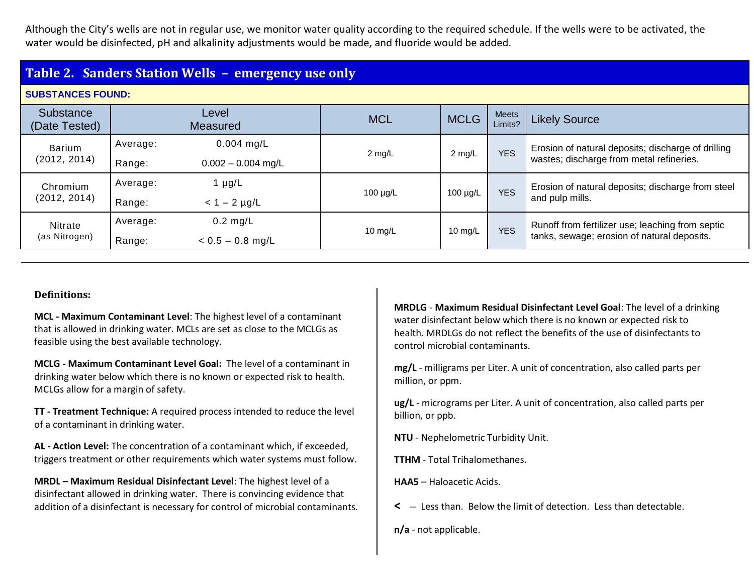Although the City's wells are not in regular use, we monitor water quality according to the required schedule. If the wells were to be activated, the water would be disinfected, pH and alkalinity adjustments would be made, and fluoride would be added.

### **Table 2. Sanders Station Wells – emergency use only**

### **SUBSTANCES FOUND:**

| 0000 I ANGLO I OOND.          |                    |                                      |               |               |                         |                                                                                                 |
|-------------------------------|--------------------|--------------------------------------|---------------|---------------|-------------------------|-------------------------------------------------------------------------------------------------|
| Substance<br>(Date Tested)    |                    | Level<br><b>Measured</b>             | <b>MCL</b>    | <b>MCLG</b>   | <b>Meets</b><br>Limits? | <b>Likely Source</b>                                                                            |
| <b>Barium</b><br>(2012, 2014) | Average:<br>Range: | $0.004$ mg/L<br>$0.002 - 0.004$ mg/L | $2$ mg/L      | $2$ mg/L      | <b>YES</b>              | Erosion of natural deposits; discharge of drilling<br>wastes; discharge from metal refineries.  |
| Chromium<br>(2012, 2014)      | Average:<br>Range: | 1 $\mu$ g/L<br>$< 1 - 2$ µg/L        | $100 \mu g/L$ | $100 \mu g/L$ | <b>YES</b>              | Erosion of natural deposits; discharge from steel<br>and pulp mills.                            |
| Nitrate<br>(as Nitrogen)      | Average:<br>Range: | $0.2$ mg/L<br>$< 0.5 - 0.8$ mg/L     | $10$ mg/L     | 10 mg/L       | <b>YES</b>              | Runoff from fertilizer use; leaching from septic<br>tanks, sewage; erosion of natural deposits. |

### **Definitions:**

**MCL - Maximum Contaminant Level**: The highest level of a contaminant that is allowed in drinking water. MCLs are set as close to the MCLGs as feasible using the best available technology.

**MCLG - Maximum Contaminant Level Goal:** The level of a contaminant in drinking water below which there is no known or expected risk to health. MCLGs allow for a margin of safety.

**TT - Treatment Technique:** A required process intended to reduce the level of a contaminant in drinking water.

**AL - Action Level:** The concentration of a contaminant which, if exceeded, triggers treatment or other requirements which water systems must follow.

**MRDL – Maximum Residual Disinfectant Level**: The highest level of a disinfectant allowed in drinking water. There is convincing evidence that addition of a disinfectant is necessary for control of microbial contaminants. **MRDLG** - **Maximum Residual Disinfectant Level Goal**: The level of a drinking water disinfectant below which there is no known or expected risk to health. MRDLGs do not reflect the benefits of the use of disinfectants to control microbial contaminants.

**mg/L** - milligrams per Liter. A unit of concentration, also called parts per million, or ppm.

**ug/L** - micrograms per Liter. A unit of concentration, also called parts per billion, or ppb.

**NTU** - Nephelometric Turbidity Unit.

**TTHM** - Total Trihalomethanes.

**HAA5** – Haloacetic Acids.

**<** -- Less than. Below the limit of detection. Less than detectable.

**n/a** - not applicable.